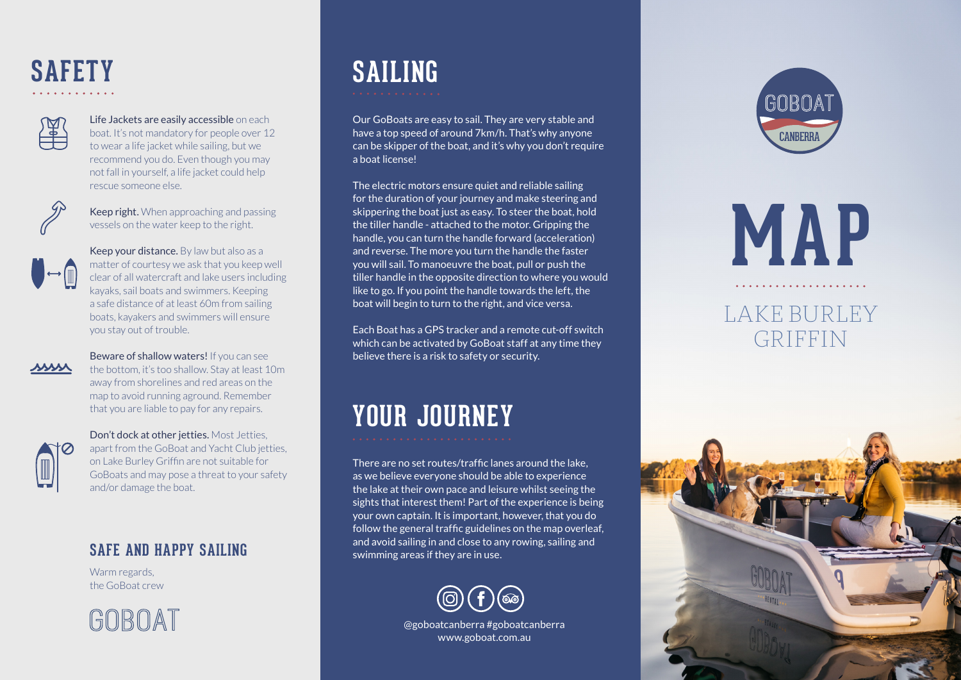## **SAFETY**



Life Jackets are easily accessible on each boat. It's not mandatory for people over 12 to wear a life jacket while sailing, but we recommend you do. Even though you may not fall in yourself, a life jacket could help rescue someone else.



Keep right. When approaching and passing vessels on the water keep to the right.



Keep your distance. By law but also as a matter of courtesy we ask that you keep well clear of all watercraft and lake users including kayaks, sail boats and swimmers. Keeping a safe distance of at least 60m from sailing boats, kayakers and swimmers will ensure you stay out of trouble.



Beware of shallow waters! If you can see the bottom, it's too shallow. Stay at least 10m away from shorelines and red areas on the map to avoid running aground. Remember that you are liable to pay for any repairs.



Don't dock at other jetties. Most Jetties, apart from the GoBoat and Yacht Club jetties, on Lake Burley Griffin are not suitable for GoBoats and may pose a threat to your safety and/or damage the boat.

#### **SAFE AND HAPPY SAILING**

Warm regards. the GoBoat crew



# **SAILING**

Our GoBoats are easy to sail. They are very stable and have a top speed of around 7km/h. That's why anyone can be skipper of the boat, and it's why you don't require a boat license!

The electric motors ensure quiet and reliable sailing for the duration of your journey and make steering and skippering the boat just as easy. To steer the boat, hold the tiller handle - attached to the motor. Gripping the handle, you can turn the handle forward (acceleration) and reverse. The more you turn the handle the faster you will sail. To manoeuvre the boat, pull or push the tiller handle in the opposite direction to where you would like to go. If you point the handle towards the left, the boat will begin to turn to the right, and vice versa.

Each Boat has a GPS tracker and a remote cut-off switch which can be activated by GoBoat staff at any time they believe there is a risk to safety or security.

### **YOUR JOURNEY**

There are no set routes/traffic lanes around the lake, as we believe everyone should be able to experience the lake at their own pace and leisure whilst seeing the sights that interest them! Part of the experience is being your own captain. It is important, however, that you do follow the general traffic guidelines on the map overleaf, and avoid sailing in and close to any rowing, sailing and swimming areas if they are in use.



@goboatcanberra #goboatcanberra www.goboat.com.au



**MAP**

#### LAKE BURLEY GRIFFIN